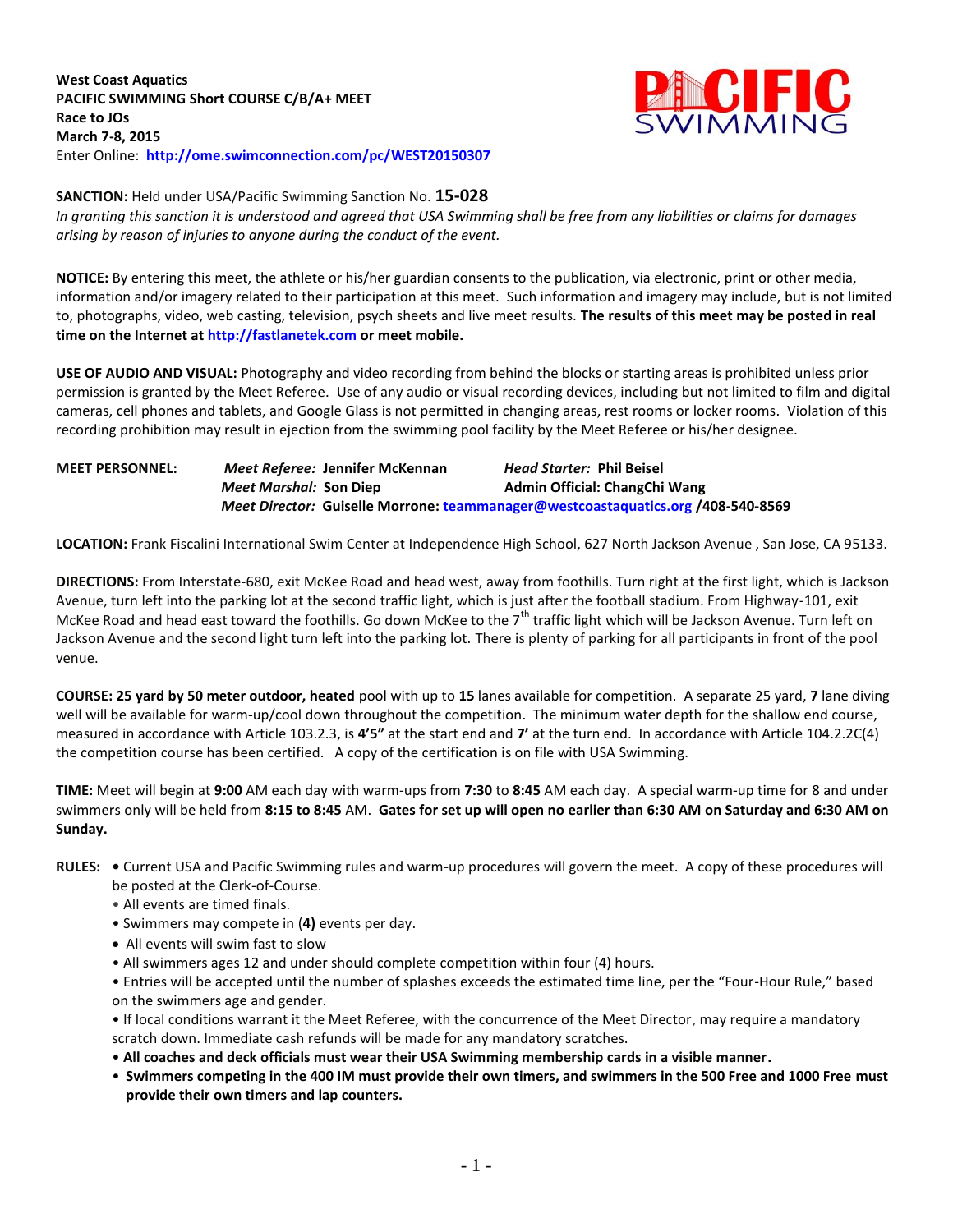

### **SANCTION:** Held under USA/Pacific Swimming Sanction No. **15-028**

*In granting this sanction it is understood and agreed that USA Swimming shall be free from any liabilities or claims for damages arising by reason of injuries to anyone during the conduct of the event.*

**NOTICE:** By entering this meet, the athlete or his/her guardian consents to the publication, via electronic, print or other media, information and/or imagery related to their participation at this meet. Such information and imagery may include, but is not limited to, photographs, video, web casting, television, psych sheets and live meet results. **The results of this meet may be posted in real time on the Internet a[t http://fastlanetek.com](http://fastlanetek.com/) or meet mobile.**

**USE OF AUDIO AND VISUAL:** Photography and video recording from behind the blocks or starting areas is prohibited unless prior permission is granted by the Meet Referee. Use of any audio or visual recording devices, including but not limited to film and digital cameras, cell phones and tablets, and Google Glass is not permitted in changing areas, rest rooms or locker rooms. Violation of this recording prohibition may result in ejection from the swimming pool facility by the Meet Referee or his/her designee.

## **MEET PERSONNEL:** *Meet Referee:* **Jennifer McKennan** *Head Starter:* **Phil Beisel** *Meet Marshal:* Son Diep **Admin Official: ChangChi Wang** *Meet Director:* **Guiselle Morrone[: teammanager@westcoastaquatics.org](mailto:teammanager@westcoastaquatics.org) /408-540-8569**

**LOCATION:** Frank Fiscalini International Swim Center at Independence High School, 627 North Jackson Avenue , San Jose, CA 95133.

**DIRECTIONS:** From Interstate-680, exit McKee Road and head west, away from foothills. Turn right at the first light, which is Jackson Avenue, turn left into the parking lot at the second traffic light, which is just after the football stadium. From Highway-101, exit McKee Road and head east toward the foothills. Go down McKee to the 7<sup>th</sup> traffic light which will be Jackson Avenue. Turn left on Jackson Avenue and the second light turn left into the parking lot. There is plenty of parking for all participants in front of the pool venue.

**COURSE: 25 yard by 50 meter outdoor, heated** pool with up to **15** lanes available for competition.A separate 25 yard, **7** lane diving well will be available for warm-up/cool down throughout the competition. The minimum water depth for the shallow end course, measured in accordance with Article 103.2.3, is **4'5"** at the start end and **7'** at the turn end. In accordance with Article 104.2.2C(4) the competition course has been certified. A copy of the certification is on file with USA Swimming.

**TIME:** Meet will begin at **9:00** AM each day with warm-ups from **7:30** to **8:45** AM each day. A special warm-up time for 8 and under swimmers only will be held from **8:15 to 8:45** AM. **Gates for set up will open no earlier than 6:30 AM on Saturday and 6:30 AM on Sunday.**

- **RULES:** Current USA and Pacific Swimming rules and warm-up procedures will govern the meet. A copy of these procedures will be posted at the Clerk-of-Course.
	- All events are timed finals.
	- Swimmers may compete in (**4)** events per day.
	- All events will swim fast to slow
	- All swimmers ages 12 and under should complete competition within four (4) hours.
	- Entries will be accepted until the number of splashes exceeds the estimated time line, per the "Four-Hour Rule," based on the swimmers age and gender.

• If local conditions warrant it the Meet Referee, with the concurrence of the Meet Director, may require a mandatory scratch down. Immediate cash refunds will be made for any mandatory scratches.

- **All coaches and deck officials must wear their USA Swimming membership cards in a visible manner.**
- **Swimmers competing in the 400 IM must provide their own timers, and swimmers in the 500 Free and 1000 Free must provide their own timers and lap counters.**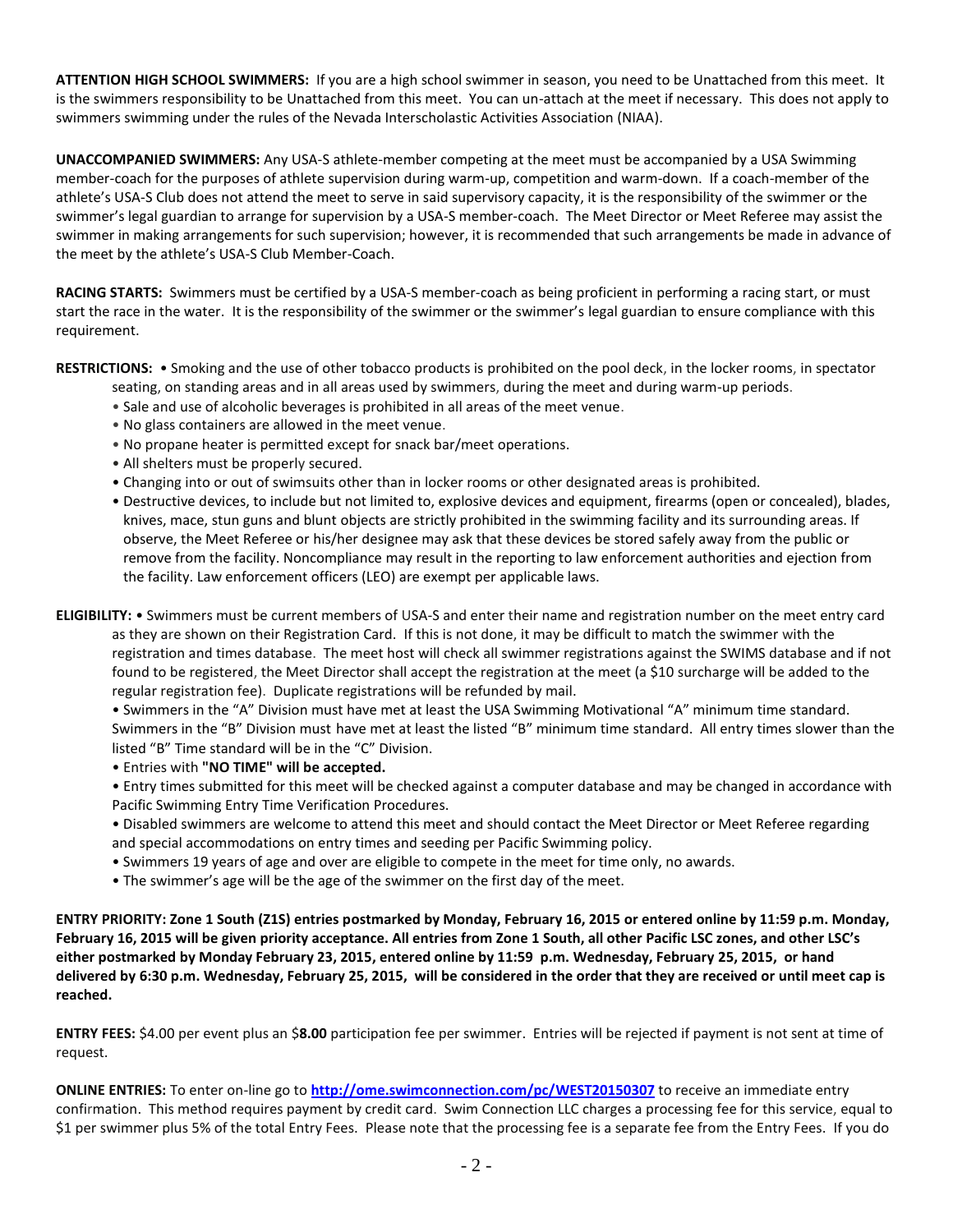**ATTENTION HIGH SCHOOL SWIMMERS:** If you are a high school swimmer in season, you need to be Unattached from this meet. It is the swimmers responsibility to be Unattached from this meet. You can un-attach at the meet if necessary. This does not apply to swimmers swimming under the rules of the Nevada Interscholastic Activities Association (NIAA).

**UNACCOMPANIED SWIMMERS:** Any USA-S athlete-member competing at the meet must be accompanied by a USA Swimming member-coach for the purposes of athlete supervision during warm-up, competition and warm-down. If a coach-member of the athlete's USA-S Club does not attend the meet to serve in said supervisory capacity, it is the responsibility of the swimmer or the swimmer's legal guardian to arrange for supervision by a USA-S member-coach. The Meet Director or Meet Referee may assist the swimmer in making arrangements for such supervision; however, it is recommended that such arrangements be made in advance of the meet by the athlete's USA-S Club Member-Coach.

**RACING STARTS:** Swimmers must be certified by a USA-S member-coach as being proficient in performing a racing start, or must start the race in the water. It is the responsibility of the swimmer or the swimmer's legal guardian to ensure compliance with this requirement.

**RESTRICTIONS:** • Smoking and the use of other tobacco products is prohibited on the pool deck, in the locker rooms, in spectator

seating, on standing areas and in all areas used by swimmers, during the meet and during warm-up periods.

- Sale and use of alcoholic beverages is prohibited in all areas of the meet venue.
- No glass containers are allowed in the meet venue.
- No propane heater is permitted except for snack bar/meet operations.
- All shelters must be properly secured.
- Changing into or out of swimsuits other than in locker rooms or other designated areas is prohibited.
- Destructive devices, to include but not limited to, explosive devices and equipment, firearms (open or concealed), blades, knives, mace, stun guns and blunt objects are strictly prohibited in the swimming facility and its surrounding areas. If observe, the Meet Referee or his/her designee may ask that these devices be stored safely away from the public or remove from the facility. Noncompliance may result in the reporting to law enforcement authorities and ejection from the facility. Law enforcement officers (LEO) are exempt per applicable laws.
- **ELIGIBILITY:** Swimmers must be current members of USA-S and enter their name and registration number on the meet entry card as they are shown on their Registration Card. If this is not done, it may be difficult to match the swimmer with the registration and times database. The meet host will check all swimmer registrations against the SWIMS database and if not found to be registered, the Meet Director shall accept the registration at the meet (a \$10 surcharge will be added to the regular registration fee). Duplicate registrations will be refunded by mail.

• Swimmers in the "A" Division must have met at least the USA Swimming Motivational "A" minimum time standard. Swimmers in the "B" Division must have met at least the listed "B" minimum time standard. All entry times slower than the listed "B" Time standard will be in the "C" Division.

• Entries with **"NO TIME" will be accepted.**

• Entry times submitted for this meet will be checked against a computer database and may be changed in accordance with Pacific Swimming Entry Time Verification Procedures.

- Disabled swimmers are welcome to attend this meet and should contact the Meet Director or Meet Referee regarding and special accommodations on entry times and seeding per Pacific Swimming policy.
- Swimmers 19 years of age and over are eligible to compete in the meet for time only, no awards.
- The swimmer's age will be the age of the swimmer on the first day of the meet.

**ENTRY PRIORITY: Zone 1 South (Z1S) entries postmarked by Monday, February 16, 2015 or entered online by 11:59 p.m. Monday, February 16, 2015 will be given priority acceptance. All entries from Zone 1 South, all other Pacific LSC zones, and other LSC's either postmarked by Monday February 23, 2015, entered online by 11:59 p.m. Wednesday, February 25, 2015, or hand delivered by 6:30 p.m. Wednesday, February 25, 2015, will be considered in the order that they are received or until meet cap is reached.**

**ENTRY FEES:** \$4.00 per event plus an \$**8.00** participation fee per swimmer. Entries will be rejected if payment is not sent at time of request.

**ONLINE ENTRIES:** To enter on-line go to **<http://ome.swimconnection.com/pc/WEST20150307>** to receive an immediate entry confirmation. This method requires payment by credit card. Swim Connection LLC charges a processing fee for this service, equal to \$1 per swimmer plus 5% of the total Entry Fees. Please note that the processing fee is a separate fee from the Entry Fees. If you do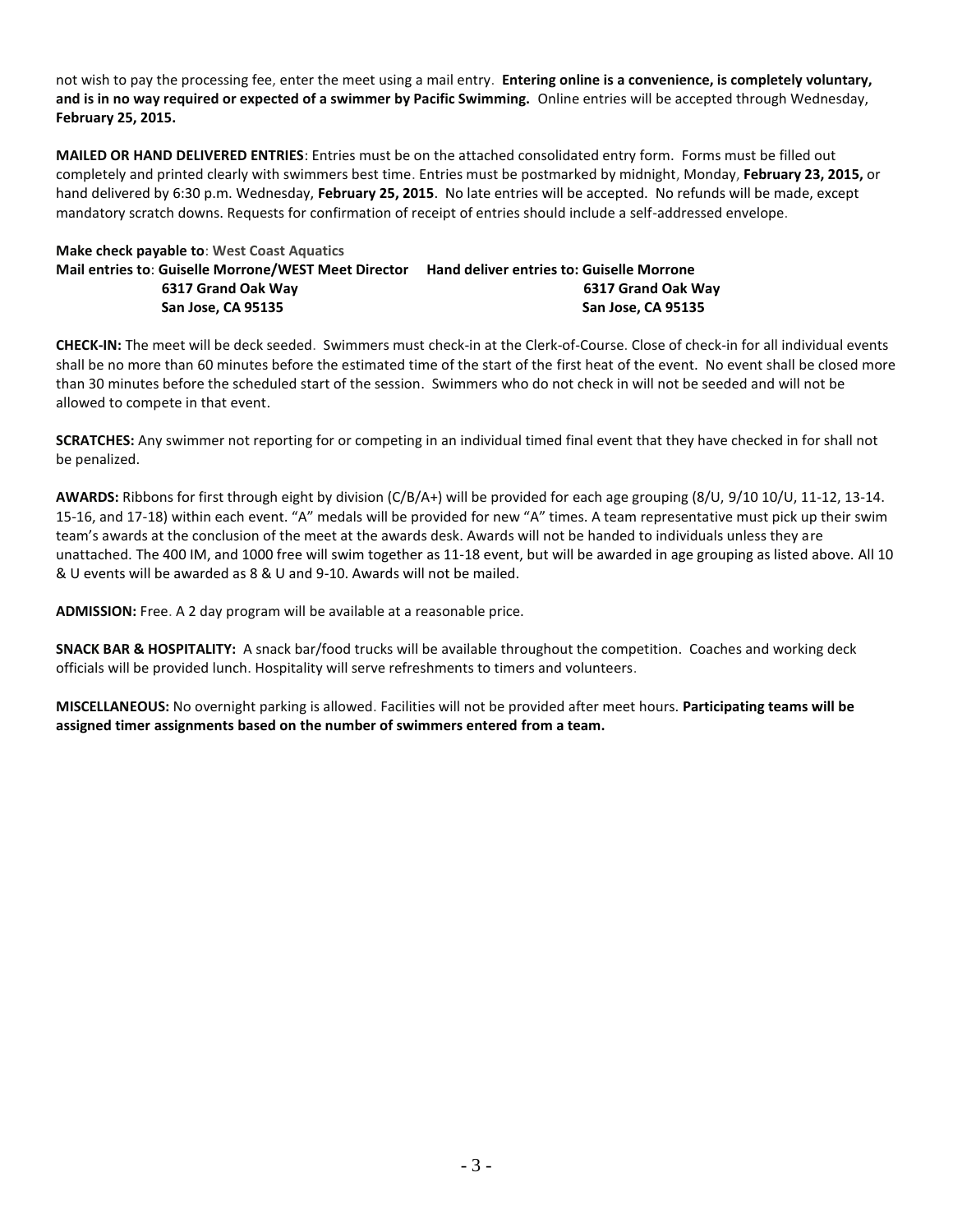not wish to pay the processing fee, enter the meet using a mail entry. **Entering online is a convenience, is completely voluntary, and is in no way required or expected of a swimmer by Pacific Swimming.** Online entries will be accepted through Wednesday, **February 25, 2015.**

**MAILED OR HAND DELIVERED ENTRIES**: Entries must be on the attached consolidated entry form. Forms must be filled out completely and printed clearly with swimmers best time. Entries must be postmarked by midnight, Monday, **February 23, 2015,** or hand delivered by 6:30 p.m. Wednesday, **February 25, 2015**. No late entries will be accepted. No refunds will be made, except mandatory scratch downs. Requests for confirmation of receipt of entries should include a self-addressed envelope.

# **Make check payable to**: **West Coast Aquatics Mail entries to**: **Guiselle Morrone/WEST Meet Director Hand deliver entries to: Guiselle Morrone 6317 Grand Oak Way 6317 Grand Oak Way San Jose, CA 95135 San Jose, CA 95135**

**CHECK-IN:** The meet will be deck seeded. Swimmers must check-in at the Clerk-of-Course. Close of check-in for all individual events shall be no more than 60 minutes before the estimated time of the start of the first heat of the event. No event shall be closed more than 30 minutes before the scheduled start of the session. Swimmers who do not check in will not be seeded and will not be allowed to compete in that event.

**SCRATCHES:** Any swimmer not reporting for or competing in an individual timed final event that they have checked in for shall not be penalized.

**AWARDS:** Ribbons for first through eight by division (C/B/A+) will be provided for each age grouping (8/U, 9/10 10/U, 11-12, 13-14. 15-16, and 17-18) within each event. "A" medals will be provided for new "A" times. A team representative must pick up their swim team's awards at the conclusion of the meet at the awards desk. Awards will not be handed to individuals unless they are unattached. The 400 IM, and 1000 free will swim together as 11-18 event, but will be awarded in age grouping as listed above. All 10 & U events will be awarded as 8 & U and 9-10. Awards will not be mailed.

**ADMISSION:** Free. A 2 day program will be available at a reasonable price.

**SNACK BAR & HOSPITALITY:** A snack bar/food trucks will be available throughout the competition. Coaches and working deck officials will be provided lunch. Hospitality will serve refreshments to timers and volunteers.

**MISCELLANEOUS:** No overnight parking is allowed. Facilities will not be provided after meet hours. **Participating teams will be assigned timer assignments based on the number of swimmers entered from a team.**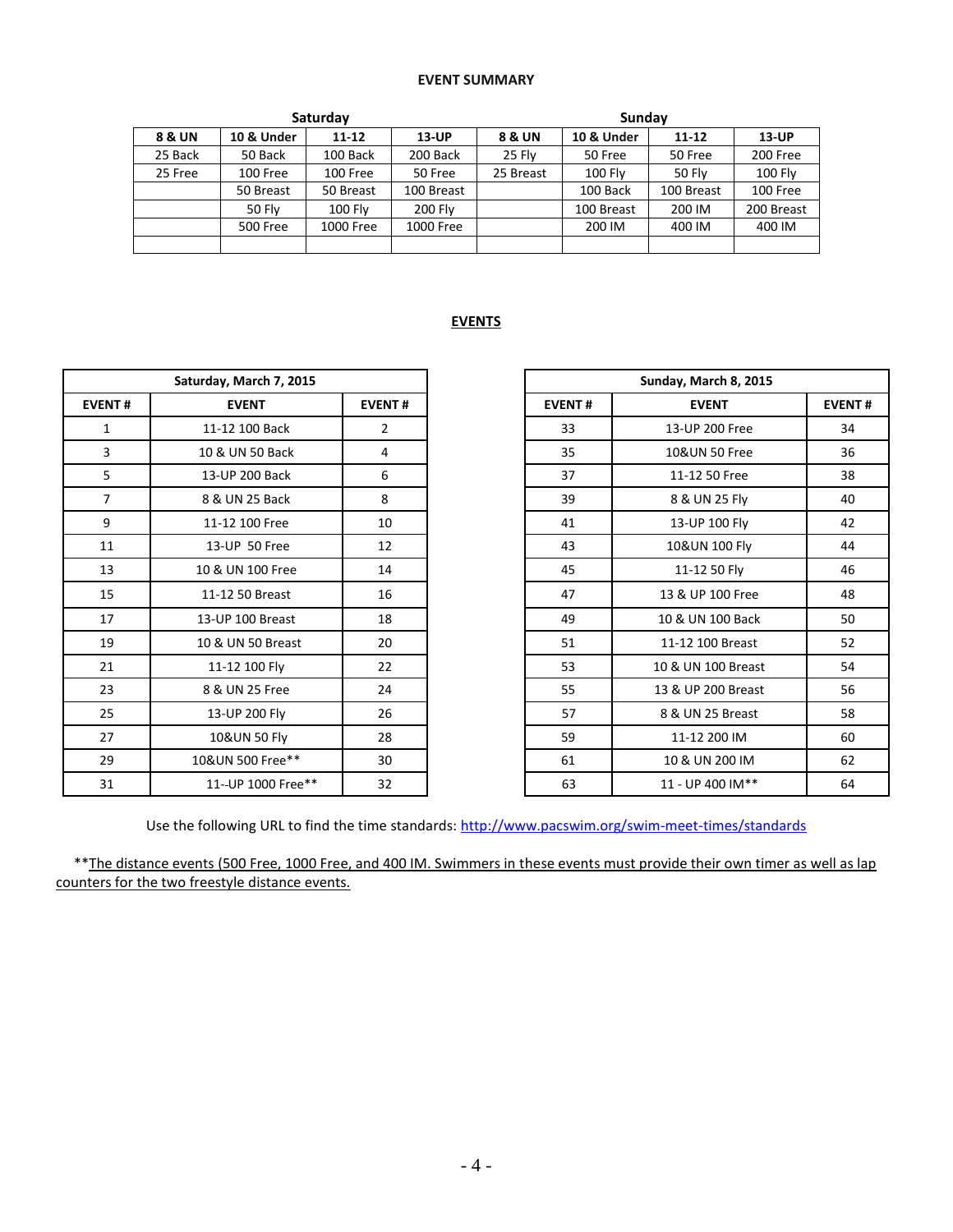## **EVENT SUMMARY**

|         |               | Saturday                |           | Sundav    |            |               |                |  |  |  |
|---------|---------------|-------------------------|-----------|-----------|------------|---------------|----------------|--|--|--|
| 8 & UN  | 10 & Under    | $11 - 12$               | 13-UP     | 8 & UN    | 10 & Under | $11 - 12$     | <b>13-UP</b>   |  |  |  |
| 25 Back | 50 Back       | 100 Back                | 200 Back  | 25 Fly    | 50 Free    | 50 Free       | 200 Free       |  |  |  |
| 25 Free | 100 Free      | 100 Free                | 50 Free   | 25 Breast | $100$ Fly  | <b>50 Flv</b> | <b>100 Fly</b> |  |  |  |
|         | 50 Breast     | 100 Breast<br>50 Breast |           |           | 100 Back   | 100 Breast    | 100 Free       |  |  |  |
|         | <b>50 Flv</b> | <b>100 Fly</b>          | 200 Flv   |           | 100 Breast | 200 IM        | 200 Breast     |  |  |  |
|         | 500 Free      | 1000 Free               | 1000 Free |           | 200 IM     | 400 IM        | 400 IM         |  |  |  |
|         |               |                         |           |           |            |               |                |  |  |  |

### **EVENTS**

| Saturday, March 7, 2015 |                    |                |  |  |  |
|-------------------------|--------------------|----------------|--|--|--|
| <b>EVENT#</b>           | <b>EVENT</b>       | <b>EVENT#</b>  |  |  |  |
| 1                       | 11-12 100 Back     | $\overline{2}$ |  |  |  |
| 3                       | 10 & UN 50 Back    | 4              |  |  |  |
| 5                       | 13-UP 200 Back     | 6              |  |  |  |
| $\overline{7}$          | 8 & UN 25 Back     | 8              |  |  |  |
| 9                       | 11-12 100 Free     | 10             |  |  |  |
| 11                      | 13-UP 50 Free      | 12             |  |  |  |
| 13                      | 10 & UN 100 Free   | 14             |  |  |  |
| 15                      | 11-12 50 Breast    | 16             |  |  |  |
| 17                      | 13-UP 100 Breast   | 18             |  |  |  |
| 19                      | 10 & UN 50 Breast  | 20             |  |  |  |
| 21                      | 11-12 100 Fly      | 22             |  |  |  |
| 23                      | 8 & UN 25 Free     | 24             |  |  |  |
| 25                      | 13-UP 200 Fly      | 26             |  |  |  |
| 27                      | 10&UN 50 Fly       | 28             |  |  |  |
| 29                      | 10&UN 500 Free**   | 30             |  |  |  |
| 31                      | 11--UP 1000 Free** | 32             |  |  |  |

|                | Saturday, March 7, 2015 |                | Sunday, March 8, 2015 |                    |               |  |
|----------------|-------------------------|----------------|-----------------------|--------------------|---------------|--|
| <b>EVENT#</b>  | <b>EVENT</b>            | <b>EVENT#</b>  | <b>EVENT#</b>         | <b>EVENT</b>       | <b>EVENT#</b> |  |
| $\mathbf{1}$   | 11-12 100 Back          | $\overline{2}$ | 33                    | 13-UP 200 Free     | 34            |  |
| 3              | 10 & UN 50 Back         | 4              | 35                    | 10&UN 50 Free      | 36            |  |
| 5              | 13-UP 200 Back          | 6              | 37                    | 11-12 50 Free      | 38            |  |
| $\overline{7}$ | 8 & UN 25 Back          | 8              | 39                    | 8 & UN 25 Fly      | 40            |  |
| 9              | 11-12 100 Free          | 10             | 41                    | 13-UP 100 Fly      | 42            |  |
| 11             | 13-UP 50 Free           | 12             | 43                    | 10&UN 100 Fly      | 44            |  |
| 13             | 10 & UN 100 Free        | 14             | 45                    | 11-12 50 Fly       | 46            |  |
| 15             | 11-12 50 Breast         | 16             | 47                    | 13 & UP 100 Free   | 48            |  |
| 17             | 13-UP 100 Breast        | 18             | 49                    | 10 & UN 100 Back   | 50            |  |
| 19             | 10 & UN 50 Breast       | 20             | 51                    | 11-12 100 Breast   | 52            |  |
| 21             | 11-12 100 Fly           | 22             | 53                    | 10 & UN 100 Breast | 54            |  |
| 23             | 8 & UN 25 Free          | 24             | 55                    | 13 & UP 200 Breast | 56            |  |
| 25             | 13-UP 200 Fly           | 26             | 57                    | 8 & UN 25 Breast   | 58            |  |
| 27             | 10&UN 50 Fly            | 28             | 59                    | 11-12 200 IM       | 60            |  |
| 29             | 10&UN 500 Free**        | 30             | 61                    | 10 & UN 200 IM     | 62            |  |
| 31             | 11--UP 1000 Free**      | 32             | 63                    | 11 - UP 400 IM**   | 64            |  |

Use the following URL to find the time standards:<http://www.pacswim.org/swim-meet-times/standards>

 \*\*The distance events (500 Free, 1000 Free, and 400 IM. Swimmers in these events must provide their own timer as well as lap counters for the two freestyle distance events.